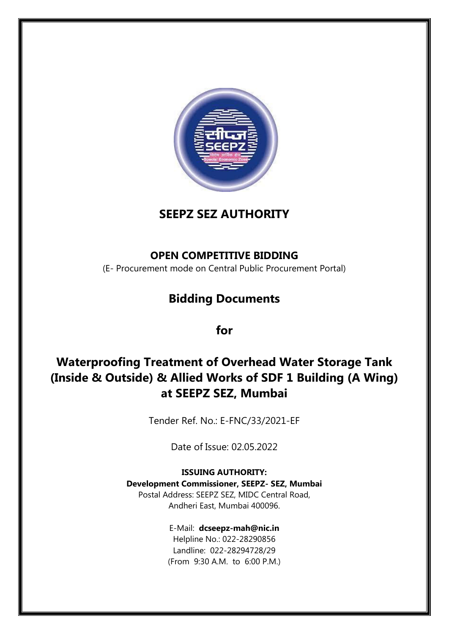



### **OPEN COMPETITIVE BIDDING**

(E- Procurement mode on Central Public Procurement Portal)

# **Bidding Documents**

**for**

# **Waterproofing Treatment of Overhead Water Storage Tank (Inside & Outside) & Allied Works of SDF 1 Building (A Wing) at SEEPZ SEZ, Mumbai**

Tender Ref. No.: E-FNC/33/2021-EF

Date of Issue: 02.05.2022

**ISSUING AUTHORITY: Development Commissioner, SEEPZ- SEZ, Mumbai** Postal Address: SEEPZ SEZ, MIDC Central Road, Andheri East, Mumbai 400096.

> E-Mail: **[dcseepz-mah@nic.in](mailto:dcseepz-mah@nic.in)** Helpline No.: 022-28290856

Landline: 022-28294728/29 (From 9:30 A.M. to 6:00 P.M.)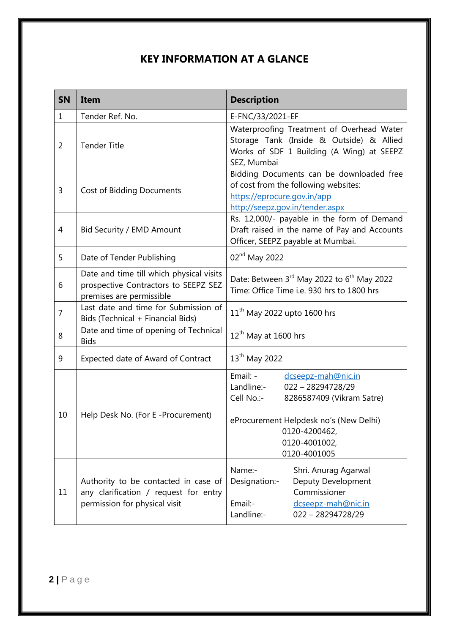# **KEY INFORMATION AT A GLANCE**

| <b>SN</b>      | Item                                                                                                           | <b>Description</b>                                                                                                                                                                                         |
|----------------|----------------------------------------------------------------------------------------------------------------|------------------------------------------------------------------------------------------------------------------------------------------------------------------------------------------------------------|
| $\mathbf 1$    | Tender Ref. No.                                                                                                | E-FNC/33/2021-EF                                                                                                                                                                                           |
| $\overline{2}$ | <b>Tender Title</b>                                                                                            | Waterproofing Treatment of Overhead Water<br>Storage Tank (Inside & Outside) & Allied<br>Works of SDF 1 Building (A Wing) at SEEPZ<br>SEZ, Mumbai                                                          |
| 3              | <b>Cost of Bidding Documents</b>                                                                               | Bidding Documents can be downloaded free<br>of cost from the following websites:<br>https://eprocure.gov.in/app<br>http://seepz.gov.in/tender.aspx                                                         |
| 4              | Bid Security / EMD Amount                                                                                      | Rs. 12,000/- payable in the form of Demand<br>Draft raised in the name of Pay and Accounts<br>Officer, SEEPZ payable at Mumbai.                                                                            |
| 5              | Date of Tender Publishing                                                                                      | 02 <sup>nd</sup> May 2022                                                                                                                                                                                  |
| 6              | Date and time till which physical visits<br>prospective Contractors to SEEPZ SEZ<br>premises are permissible   | Date: Between 3rd May 2022 to 6 <sup>th</sup> May 2022<br>Time: Office Time i.e. 930 hrs to 1800 hrs                                                                                                       |
| $\overline{7}$ | Last date and time for Submission of<br>Bids (Technical + Financial Bids)                                      | $11th$ May 2022 upto 1600 hrs                                                                                                                                                                              |
| 8              | Date and time of opening of Technical<br><b>Bids</b>                                                           | $12^{th}$ May at 1600 hrs                                                                                                                                                                                  |
| 9              | Expected date of Award of Contract                                                                             | 13 <sup>th</sup> May 2022                                                                                                                                                                                  |
| 10             | Help Desk No. (For E-Procurement)                                                                              | Email: -<br>dcseepz-mah@nic.in<br>Landline:-<br>$022 - 28294728/29$<br>Cell No.:-<br>8286587409 (Vikram Satre)<br>eProcurement Helpdesk no's (New Delhi)<br>0120-4200462,<br>0120-4001002,<br>0120-4001005 |
| 11             | Authority to be contacted in case of<br>any clarification / request for entry<br>permission for physical visit | Name:-<br>Shri. Anurag Agarwal<br>Designation:-<br>Deputy Development<br>Commissioner<br>Email:-<br>dcseepz-mah@nic.in<br>Landline:-<br>022-28294728/29                                                    |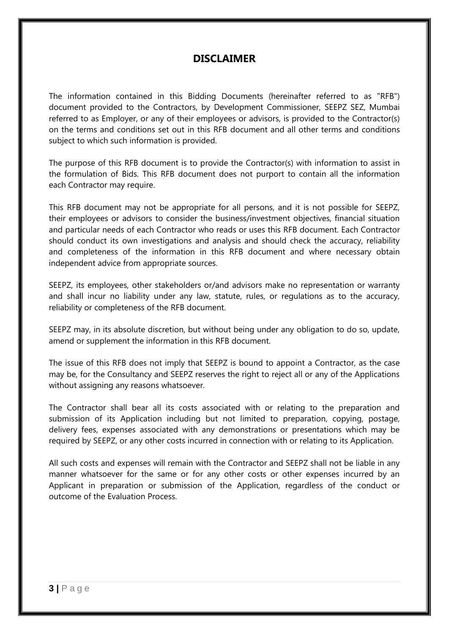### **DISCLAIMER**

The information contained in this Bidding Documents (hereinafter referred to as "RFB") document provided to the Contractors, by Development Commissioner, SEEPZ SEZ, Mumbai referred to as Employer, or any of their employees or advisors, is provided to the Contractor(s) on the terms and conditions set out in this RFB document and all other terms and conditions subject to which such information is provided.

The purpose of this RFB document is to provide the Contractor(s) with information to assist in the formulation of Bids. This RFB document does not purport to contain all the information each Contractor may require.

This RFB document may not be appropriate for all persons, and it is not possible for SEEPZ, their employees or advisors to consider the business/investment objectives, financial situation and particular needs of each Contractor who reads or uses this RFB document. Each Contractor should conduct its own investigations and analysis and should check the accuracy, reliability and completeness of the information in this RFB document and where necessary obtain independent advice from appropriate sources.

SEEPZ, its employees, other stakeholders or/and advisors make no representation or warranty and shall incur no liability under any law, statute, rules, or regulations as to the accuracy, reliability or completeness of the RFB document.

SEEPZ may, in its absolute discretion, but without being under any obligation to do so, update, amend or supplement the information in this RFB document.

The issue of this RFB does not imply that SEEPZ is bound to appoint a Contractor, as the case may be, for the Consultancy and SEEPZ reserves the right to reject all or any of the Applications without assigning any reasons whatsoever.

The Contractor shall bear all its costs associated with or relating to the preparation and submission of its Application including but not limited to preparation, copying, postage, delivery fees, expenses associated with any demonstrations or presentations which may be required by SEEPZ, or any other costs incurred in connection with or relating to its Application.

All such costs and expenses will remain with the Contractor and SEEPZ shall not be liable in any manner whatsoever for the same or for any other costs or other expenses incurred by an Applicant in preparation or submission of the Application, regardless of the conduct or outcome of the Evaluation Process.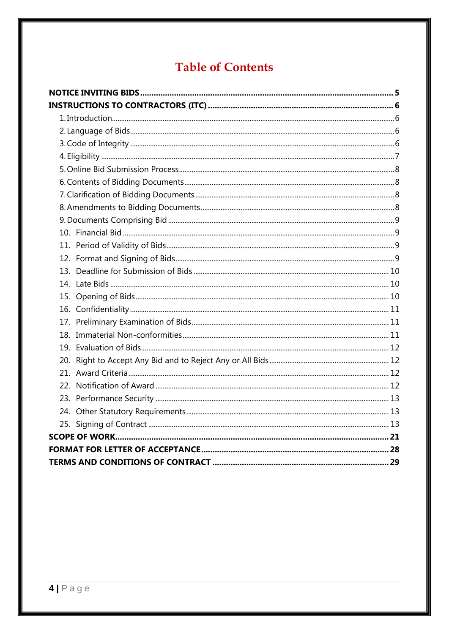# **Table of Contents**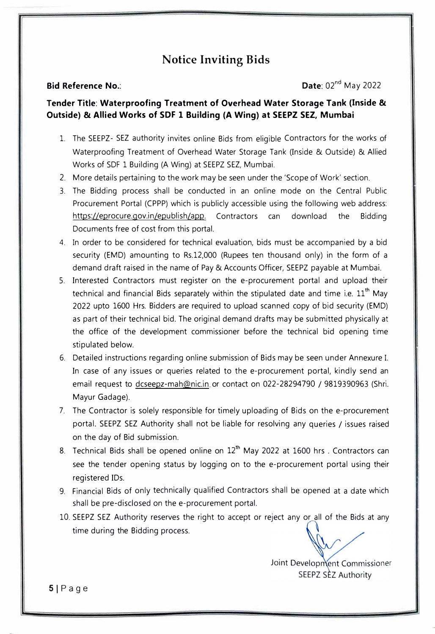### **Notice Inviting Bids**

**Bid Reference No.: Date:** 02<sup>nd</sup> May 2022

#### **Tender Title: Waterproofing Treatment of Overhead Water Storage Tank (Inside & Outside) & Allied Works of SDF 1 Building (A Wing) at SEEPZ SEZ, Mumbai**

- 1. The SEEPZ- SEZ authority invites online Bids from eligible Contractors for the works of Waterproofing Treatment of Overhead Water Storage Tank (Inside & Outside) & Allied Works of SDF 1 Building (A Wing) at SEEPZ SEZ, Mumbai.
- 2. More details pertaining to the work may be seen under the 'Scope of Work' section.
- 3. The Bidding process shall be conducted in an online mode on the Central Public Procurement Portal (CPPP) which is publicly accessible using the following web address: https://eprocure.gov.in/epublish/app. Contractors can download the Bidding Documents free of cost from this portal.
- 4. In order to be considered for technical evaluation, bids must be accompanied by a bid security (EMD) amounting to Rs.12,000 (Rupees ten thousand only) in the form of a demand draft raised in the name of Pay & Accounts Officer, SEEPZ payable at Mumbai.
- 5. Interested Contractors must register on the e-procurement portal and upload their technical and financial Bids separately within the stipulated date and time i.e.  $11<sup>th</sup>$  May 2022 upto 1600 Hrs. Bidders are required to upload scanned copy of bid security (EMD) as part of their technical bid. The original demand drafts may be submitted physically at the office of the development commissioner before the technical bid opening time stipulated below.
- 6. Detailed instructions regarding online submission of Bids may be seen under Annexure I. In case of any issues or queries related to the e-procurement portal, kindly send an email request to dcseepz-mah@nic.in or contact on 022-28294790 / 9819390963 (Shri. Mayur Gadage).
- 7. The Contractor is solely responsible for timely uploading of Bids on the e-procurement portal. SEEPZ SEZ Authority shall not be liable for resolving any queries / issues raised on the day of Bid submission.
- 8. Technical Bids shall be opened online on  $12<sup>th</sup>$  May 2022 at 1600 hrs . Contractors can see the tender opening status by logging on to the e-procurement portal using their registered IDs.
- 9. Financial Bids of only technically qualified Contractors shall be opened at a date which shall be pre-disclosed on the e-procurement portal.
- 10. SEEPZ SEZ Authority reserves the right to accept or reject any or all of the Bids at any time during the Bidding process.

Joint Development Commissioner SEEPZ SEZ Authority

**SI** Page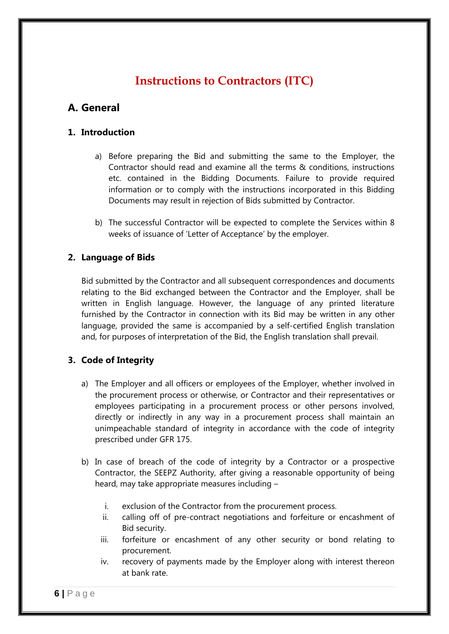# **Instructions to Contractors (ITC)**

## **A. General**

#### **1. Introduction**

- a) Before preparing the Bid and submitting the same to the Employer, the Contractor should read and examine all the terms & conditions, instructions etc. contained in the Bidding Documents. Failure to provide required information or to comply with the instructions incorporated in this Bidding Documents may result in rejection of Bids submitted by Contractor.
- b) The successful Contractor will be expected to complete the Services within 8 weeks of issuance of "Letter of Acceptance" by the employer.

#### **2. Language of Bids**

Bid submitted by the Contractor and all subsequent correspondences and documents relating to the Bid exchanged between the Contractor and the Employer, shall be written in English language. However, the language of any printed literature furnished by the Contractor in connection with its Bid may be written in any other language, provided the same is accompanied by a self-certified English translation and, for purposes of interpretation of the Bid, the English translation shall prevail.

#### **3. Code of Integrity**

- a) The Employer and all officers or employees of the Employer, whether involved in the procurement process or otherwise, or Contractor and their representatives or employees participating in a procurement process or other persons involved, directly or indirectly in any way in a procurement process shall maintain an unimpeachable standard of integrity in accordance with the code of integrity prescribed under GFR 175.
- b) In case of breach of the code of integrity by a Contractor or a prospective Contractor, the SEEPZ Authority, after giving a reasonable opportunity of being heard, may take appropriate measures including –
	- i. exclusion of the Contractor from the procurement process.
	- ii. calling off of pre-contract negotiations and forfeiture or encashment of Bid security.
	- iii. forfeiture or encashment of any other security or bond relating to procurement.
	- iv. recovery of payments made by the Employer along with interest thereon at bank rate.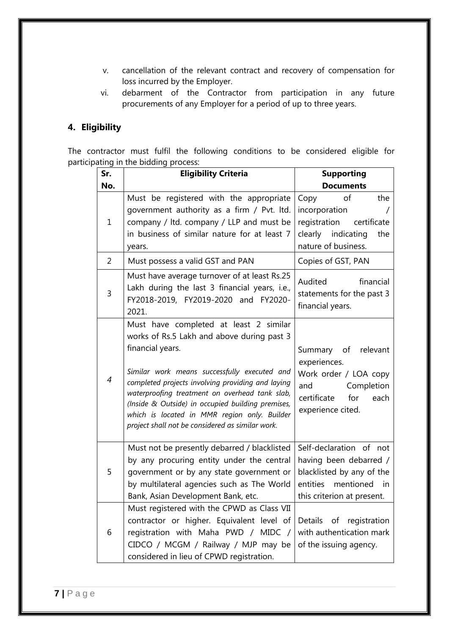- v. cancellation of the relevant contract and recovery of compensation for loss incurred by the Employer.
- vi. debarment of the Contractor from participation in any future procurements of any Employer for a period of up to three years.

#### **4. Eligibility**

The contractor must fulfil the following conditions to be considered eligible for participating in the bidding process:

| Sr.            | <b>Eligibility Criteria</b>                                                                                                                                                                                                                                                                                                                                                                                              | <b>Supporting</b>                                                                                                                           |  |
|----------------|--------------------------------------------------------------------------------------------------------------------------------------------------------------------------------------------------------------------------------------------------------------------------------------------------------------------------------------------------------------------------------------------------------------------------|---------------------------------------------------------------------------------------------------------------------------------------------|--|
| No.            |                                                                                                                                                                                                                                                                                                                                                                                                                          | <b>Documents</b>                                                                                                                            |  |
| $\mathbf{1}$   | Must be registered with the appropriate<br>government authority as a firm / Pvt. Itd.<br>company / ltd. company / LLP and must be<br>in business of similar nature for at least 7<br>years.                                                                                                                                                                                                                              | the<br>Copy<br>οf<br>incorporation<br>registration certificate<br>clearly indicating<br>the<br>nature of business.                          |  |
| $\overline{2}$ | Copies of GST, PAN<br>Must possess a valid GST and PAN                                                                                                                                                                                                                                                                                                                                                                   |                                                                                                                                             |  |
| 3              | Must have average turnover of at least Rs.25<br>Audited<br>financial<br>Lakh during the last 3 financial years, i.e.,<br>statements for the past 3<br>FY2018-2019, FY2019-2020 and FY2020-<br>financial years.<br>2021.                                                                                                                                                                                                  |                                                                                                                                             |  |
| $\overline{4}$ | Must have completed at least 2 similar<br>works of Rs.5 Lakh and above during past 3<br>financial years.<br>Similar work means successfully executed and<br>completed projects involving providing and laying<br>waterproofing treatment on overhead tank slab,<br>(Inside & Outside) in occupied building premises,<br>which is located in MMR region only. Builder<br>project shall not be considered as similar work. | Summary of relevant<br>experiences.<br>Work order / LOA copy<br>and<br>Completion<br>certificate<br>for<br>each<br>experience cited.        |  |
| 5              | Must not be presently debarred / blacklisted<br>by any procuring entity under the central<br>government or by any state government or<br>by multilateral agencies such as The World<br>Bank, Asian Development Bank, etc.                                                                                                                                                                                                | Self-declaration of not<br>having been debarred /<br>blacklisted by any of the<br>entities mentioned<br>in in<br>this criterion at present. |  |
| 6              | Must registered with the CPWD as Class VII<br>contractor or higher. Equivalent level of<br>Details of registration<br>registration with Maha PWD / MIDC /<br>with authentication mark<br>CIDCO / MCGM / Railway / MJP may be<br>of the issuing agency.<br>considered in lieu of CPWD registration.                                                                                                                       |                                                                                                                                             |  |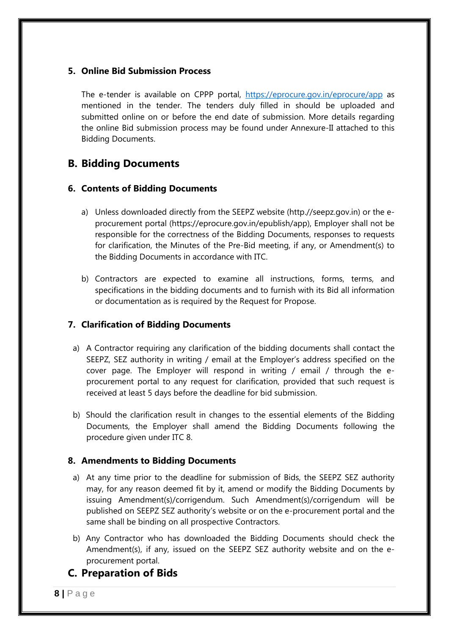#### **5. Online Bid Submission Process**

The e-tender is available on CPPP portal, <https://eprocure.gov.in/eprocure/app>as mentioned in the tender. The tenders duly filled in should be uploaded and submitted online on or before the end date of submission. More details regarding the online Bid submission process may be found under Annexure-II attached to this Bidding Documents.

### **B. Bidding Documents**

#### **6. Contents of Bidding Documents**

- a) Unless downloaded directly from the SEEPZ website (http.//seepz.gov.in) or the eprocurement portal (https://eprocure.gov.in/epublish/app), Employer shall not be responsible for the correctness of the Bidding Documents, responses to requests for clarification, the Minutes of the Pre-Bid meeting, if any, or Amendment(s) to the Bidding Documents in accordance with ITC.
- b) Contractors are expected to examine all instructions, forms, terms, and specifications in the bidding documents and to furnish with its Bid all information or documentation as is required by the Request for Propose.

#### **7. Clarification of Bidding Documents**

- a) A Contractor requiring any clarification of the bidding documents shall contact the SEEPZ, SEZ authority in writing / email at the Employer's address specified on the cover page. The Employer will respond in writing / email / through the eprocurement portal to any request for clarification, provided that such request is received at least 5 days before the deadline for bid submission.
- b) Should the clarification result in changes to the essential elements of the Bidding Documents, the Employer shall amend the Bidding Documents following the procedure given under ITC 8.

#### **8. Amendments to Bidding Documents**

- a) At any time prior to the deadline for submission of Bids, the SEEPZ SEZ authority may, for any reason deemed fit by it, amend or modify the Bidding Documents by issuing Amendment(s)/corrigendum. Such Amendment(s)/corrigendum will be published on SEEPZ SEZ authority"s website or on the e-procurement portal and the same shall be binding on all prospective Contractors.
- b) Any Contractor who has downloaded the Bidding Documents should check the Amendment(s), if any, issued on the SEEPZ SEZ authority website and on the eprocurement portal.

### **C. Preparation of Bids**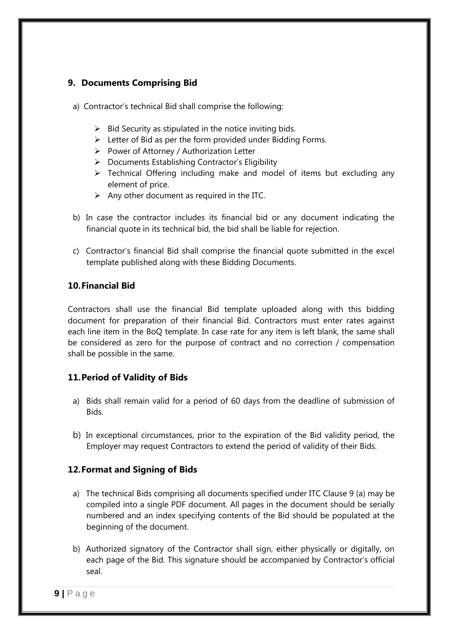#### **9. Documents Comprising Bid**

- a) Contractor's technical Bid shall comprise the following:
	- $\triangleright$  Bid Security as stipulated in the notice inviting bids.
	- $\triangleright$  Letter of Bid as per the form provided under Bidding Forms.
	- $\triangleright$  Power of Attorney / Authorization Letter
	- $\triangleright$  Documents Establishing Contractor's Eligibility
	- $\triangleright$  Technical Offering including make and model of items but excluding any element of price.
	- $\triangleright$  Any other document as required in the ITC.
- b) In case the contractor includes its financial bid or any document indicating the financial quote in its technical bid, the bid shall be liable for rejection.
- c) Contractor"s financial Bid shall comprise the financial quote submitted in the excel template published along with these Bidding Documents.

#### **10.Financial Bid**

Contractors shall use the financial Bid template uploaded along with this bidding document for preparation of their financial Bid. Contractors must enter rates against each line item in the BoQ template. In case rate for any item is left blank, the same shall be considered as zero for the purpose of contract and no correction / compensation shall be possible in the same.

#### **11.Period of Validity of Bids**

- a) Bids shall remain valid for a period of 60 days from the deadline of submission of Bids.
- b) In exceptional circumstances, prior to the expiration of the Bid validity period, the Employer may request Contractors to extend the period of validity of their Bids.

#### **12.Format and Signing of Bids**

- a) The technical Bids comprising all documents specified under ITC Clause 9 (a) may be compiled into a single PDF document. All pages in the document should be serially numbered and an index specifying contents of the Bid should be populated at the beginning of the document.
- b) Authorized signatory of the Contractor shall sign, either physically or digitally, on each page of the Bid. This signature should be accompanied by Contractor's official seal.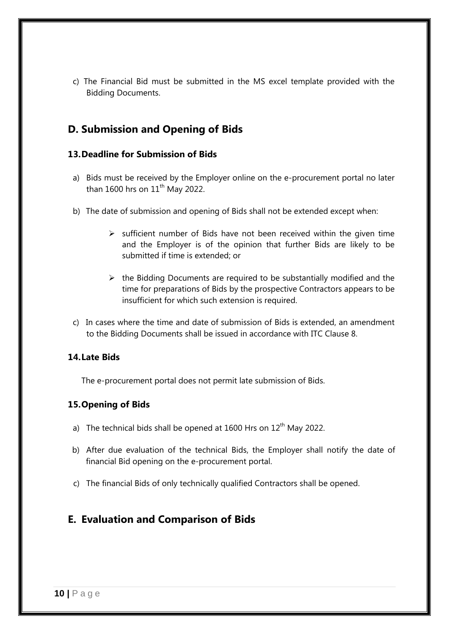c) The Financial Bid must be submitted in the MS excel template provided with the Bidding Documents.

### **D. Submission and Opening of Bids**

#### **13.Deadline for Submission of Bids**

- a) Bids must be received by the Employer online on the e-procurement portal no later than 1600 hrs on  $11<sup>th</sup>$  May 2022.
- b) The date of submission and opening of Bids shall not be extended except when:
	- $\triangleright$  sufficient number of Bids have not been received within the given time and the Employer is of the opinion that further Bids are likely to be submitted if time is extended; or
	- $\triangleright$  the Bidding Documents are required to be substantially modified and the time for preparations of Bids by the prospective Contractors appears to be insufficient for which such extension is required.
- c) In cases where the time and date of submission of Bids is extended, an amendment to the Bidding Documents shall be issued in accordance with ITC Clause 8.

#### **14.Late Bids**

The e-procurement portal does not permit late submission of Bids.

#### **15.Opening of Bids**

- a) The technical bids shall be opened at 1600 Hrs on  $12<sup>th</sup>$  May 2022.
- b) After due evaluation of the technical Bids, the Employer shall notify the date of financial Bid opening on the e-procurement portal.
- c) The financial Bids of only technically qualified Contractors shall be opened.

### **E. Evaluation and Comparison of Bids**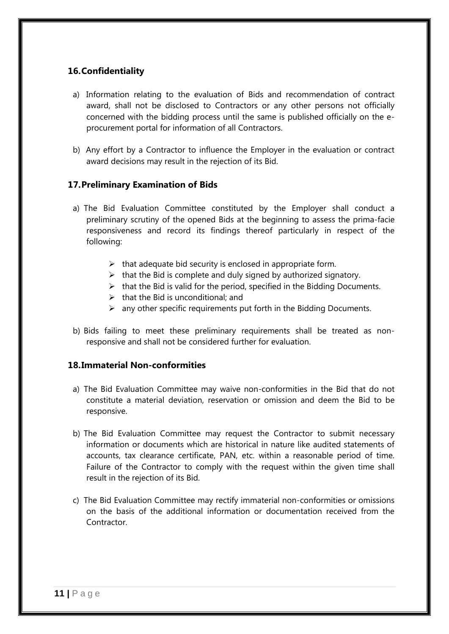#### **16.Confidentiality**

- a) Information relating to the evaluation of Bids and recommendation of contract award, shall not be disclosed to Contractors or any other persons not officially concerned with the bidding process until the same is published officially on the eprocurement portal for information of all Contractors.
- b) Any effort by a Contractor to influence the Employer in the evaluation or contract award decisions may result in the rejection of its Bid.

#### **17.Preliminary Examination of Bids**

- a) The Bid Evaluation Committee constituted by the Employer shall conduct a preliminary scrutiny of the opened Bids at the beginning to assess the prima-facie responsiveness and record its findings thereof particularly in respect of the following:
	- $\triangleright$  that adequate bid security is enclosed in appropriate form.
	- $\triangleright$  that the Bid is complete and duly signed by authorized signatory.
	- $\triangleright$  that the Bid is valid for the period, specified in the Bidding Documents.
	- $\triangleright$  that the Bid is unconditional; and
	- $\triangleright$  any other specific requirements put forth in the Bidding Documents.
- b) Bids failing to meet these preliminary requirements shall be treated as nonresponsive and shall not be considered further for evaluation.

#### **18.Immaterial Non-conformities**

- a) The Bid Evaluation Committee may waive non-conformities in the Bid that do not constitute a material deviation, reservation or omission and deem the Bid to be responsive.
- b) The Bid Evaluation Committee may request the Contractor to submit necessary information or documents which are historical in nature like audited statements of accounts, tax clearance certificate, PAN, etc. within a reasonable period of time. Failure of the Contractor to comply with the request within the given time shall result in the rejection of its Bid.
- c) The Bid Evaluation Committee may rectify immaterial non-conformities or omissions on the basis of the additional information or documentation received from the Contractor.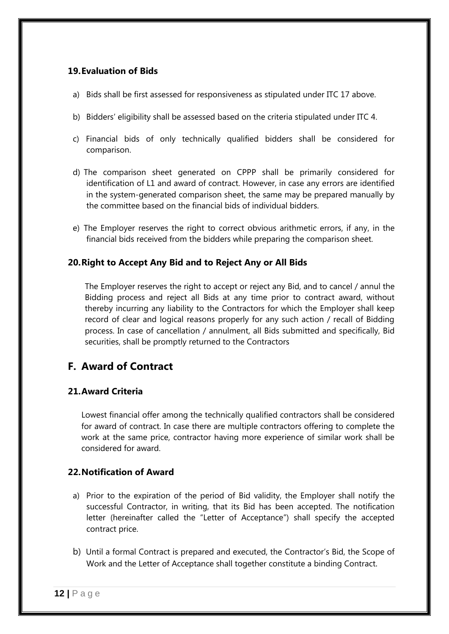#### **19.Evaluation of Bids**

- a) Bids shall be first assessed for responsiveness as stipulated under ITC 17 above.
- b) Bidders' eligibility shall be assessed based on the criteria stipulated under ITC 4.
- c) Financial bids of only technically qualified bidders shall be considered for comparison.
- d) The comparison sheet generated on CPPP shall be primarily considered for identification of L1 and award of contract. However, in case any errors are identified in the system-generated comparison sheet, the same may be prepared manually by the committee based on the financial bids of individual bidders.
- e) The Employer reserves the right to correct obvious arithmetic errors, if any, in the financial bids received from the bidders while preparing the comparison sheet.

#### **20.Right to Accept Any Bid and to Reject Any or All Bids**

The Employer reserves the right to accept or reject any Bid, and to cancel / annul the Bidding process and reject all Bids at any time prior to contract award, without thereby incurring any liability to the Contractors for which the Employer shall keep record of clear and logical reasons properly for any such action / recall of Bidding process. In case of cancellation / annulment, all Bids submitted and specifically, Bid securities, shall be promptly returned to the Contractors

### **F. Award of Contract**

#### **21.Award Criteria**

Lowest financial offer among the technically qualified contractors shall be considered for award of contract. In case there are multiple contractors offering to complete the work at the same price, contractor having more experience of similar work shall be considered for award.

#### **22.Notification of Award**

- a) Prior to the expiration of the period of Bid validity, the Employer shall notify the successful Contractor, in writing, that its Bid has been accepted. The notification letter (hereinafter called the "Letter of Acceptance") shall specify the accepted contract price.
- b) Until a formal Contract is prepared and executed, the Contractor's Bid, the Scope of Work and the Letter of Acceptance shall together constitute a binding Contract.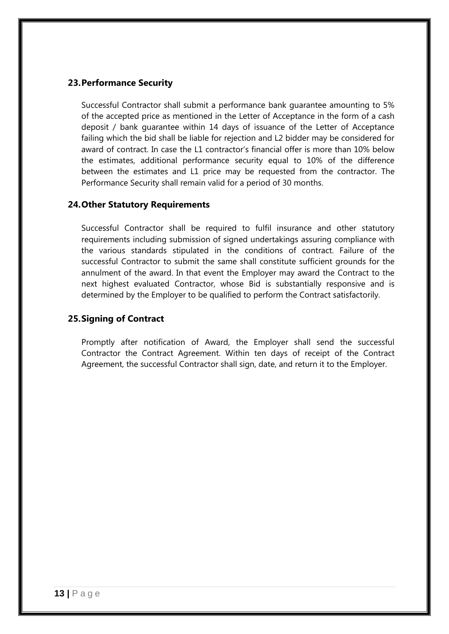#### **23.Performance Security**

Successful Contractor shall submit a performance bank guarantee amounting to 5% of the accepted price as mentioned in the Letter of Acceptance in the form of a cash deposit / bank guarantee within 14 days of issuance of the Letter of Acceptance failing which the bid shall be liable for rejection and L2 bidder may be considered for award of contract. In case the L1 contractor's financial offer is more than 10% below the estimates, additional performance security equal to 10% of the difference between the estimates and L1 price may be requested from the contractor. The Performance Security shall remain valid for a period of 30 months.

#### **24.Other Statutory Requirements**

Successful Contractor shall be required to fulfil insurance and other statutory requirements including submission of signed undertakings assuring compliance with the various standards stipulated in the conditions of contract. Failure of the successful Contractor to submit the same shall constitute sufficient grounds for the annulment of the award. In that event the Employer may award the Contract to the next highest evaluated Contractor, whose Bid is substantially responsive and is determined by the Employer to be qualified to perform the Contract satisfactorily.

#### **25.Signing of Contract**

Promptly after notification of Award, the Employer shall send the successful Contractor the Contract Agreement. Within ten days of receipt of the Contract Agreement, the successful Contractor shall sign, date, and return it to the Employer.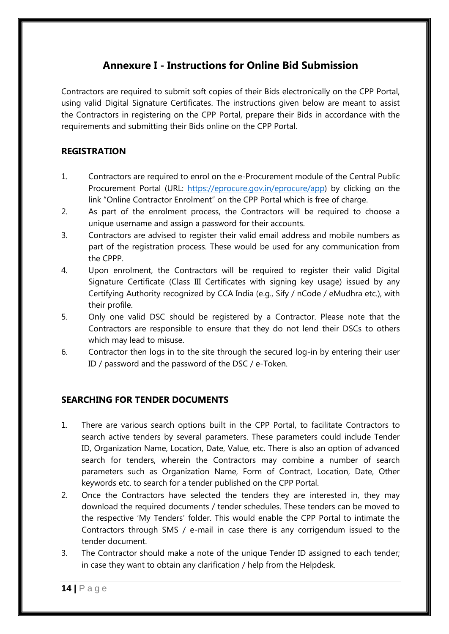## **Annexure I - Instructions for Online Bid Submission**

Contractors are required to submit soft copies of their Bids electronically on the CPP Portal, using valid Digital Signature Certificates. The instructions given below are meant to assist the Contractors in registering on the CPP Portal, prepare their Bids in accordance with the requirements and submitting their Bids online on the CPP Portal.

#### **REGISTRATION**

- 1. Contractors are required to enrol on the e-Procurement module of the Central Public Procurement Portal (URL: [https://eprocure.gov.in/eprocure/app\)](https://eprocure.gov.in/eprocure/app) by clicking on the link "Online Contractor Enrolment" on the CPP Portal which is free of charge.
- 2. As part of the enrolment process, the Contractors will be required to choose a unique username and assign a password for their accounts.
- 3. Contractors are advised to register their valid email address and mobile numbers as part of the registration process. These would be used for any communication from the CPPP.
- 4. Upon enrolment, the Contractors will be required to register their valid Digital Signature Certificate (Class III Certificates with signing key usage) issued by any Certifying Authority recognized by CCA India (e.g., Sify / nCode / eMudhra etc.), with their profile.
- 5. Only one valid DSC should be registered by a Contractor. Please note that the Contractors are responsible to ensure that they do not lend their DSCs to others which may lead to misuse.
- 6. Contractor then logs in to the site through the secured log-in by entering their user ID / password and the password of the DSC / e-Token.

#### **SEARCHING FOR TENDER DOCUMENTS**

- 1. There are various search options built in the CPP Portal, to facilitate Contractors to search active tenders by several parameters. These parameters could include Tender ID, Organization Name, Location, Date, Value, etc. There is also an option of advanced search for tenders, wherein the Contractors may combine a number of search parameters such as Organization Name, Form of Contract, Location, Date, Other keywords etc. to search for a tender published on the CPP Portal.
- 2. Once the Contractors have selected the tenders they are interested in, they may download the required documents / tender schedules. These tenders can be moved to the respective "My Tenders" folder. This would enable the CPP Portal to intimate the Contractors through SMS / e-mail in case there is any corrigendum issued to the tender document.
- 3. The Contractor should make a note of the unique Tender ID assigned to each tender; in case they want to obtain any clarification / help from the Helpdesk.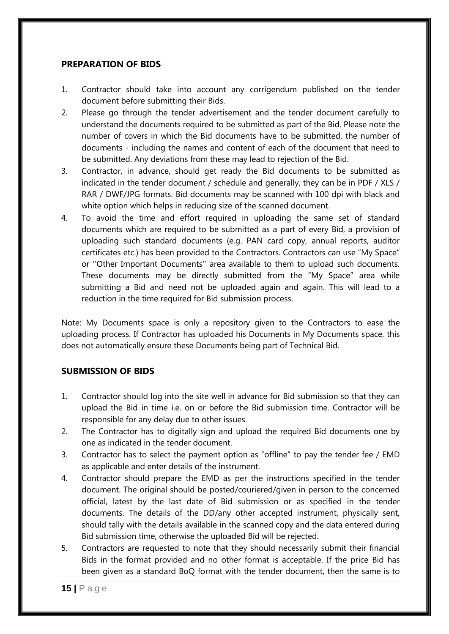#### **PREPARATION OF BIDS**

- 1. Contractor should take into account any corrigendum published on the tender document before submitting their Bids.
- 2. Please go through the tender advertisement and the tender document carefully to understand the documents required to be submitted as part of the Bid. Please note the number of covers in which the Bid documents have to be submitted, the number of documents - including the names and content of each of the document that need to be submitted. Any deviations from these may lead to rejection of the Bid.
- 3. Contractor, in advance, should get ready the Bid documents to be submitted as indicated in the tender document / schedule and generally, they can be in PDF / XLS / RAR / DWF/JPG formats. Bid documents may be scanned with 100 dpi with black and white option which helps in reducing size of the scanned document.
- 4. To avoid the time and effort required in uploading the same set of standard documents which are required to be submitted as a part of every Bid, a provision of uploading such standard documents (e.g. PAN card copy, annual reports, auditor certificates etc.) has been provided to the Contractors. Contractors can use "My Space" or ""Other Important Documents"" area available to them to upload such documents. These documents may be directly submitted from the "My Space" area while submitting a Bid and need not be uploaded again and again. This will lead to a reduction in the time required for Bid submission process.

Note: My Documents space is only a repository given to the Contractors to ease the uploading process. If Contractor has uploaded his Documents in My Documents space, this does not automatically ensure these Documents being part of Technical Bid.

#### **SUBMISSION OF BIDS**

- 1. Contractor should log into the site well in advance for Bid submission so that they can upload the Bid in time i.e. on or before the Bid submission time. Contractor will be responsible for any delay due to other issues.
- 2. The Contractor has to digitally sign and upload the required Bid documents one by one as indicated in the tender document.
- 3. Contractor has to select the payment option as "offline" to pay the tender fee / EMD as applicable and enter details of the instrument.
- 4. Contractor should prepare the EMD as per the instructions specified in the tender document. The original should be posted/couriered/given in person to the concerned official, latest by the last date of Bid submission or as specified in the tender documents. The details of the DD/any other accepted instrument, physically sent, should tally with the details available in the scanned copy and the data entered during Bid submission time, otherwise the uploaded Bid will be rejected.
- 5. Contractors are requested to note that they should necessarily submit their financial Bids in the format provided and no other format is acceptable. If the price Bid has been given as a standard BoQ format with the tender document, then the same is to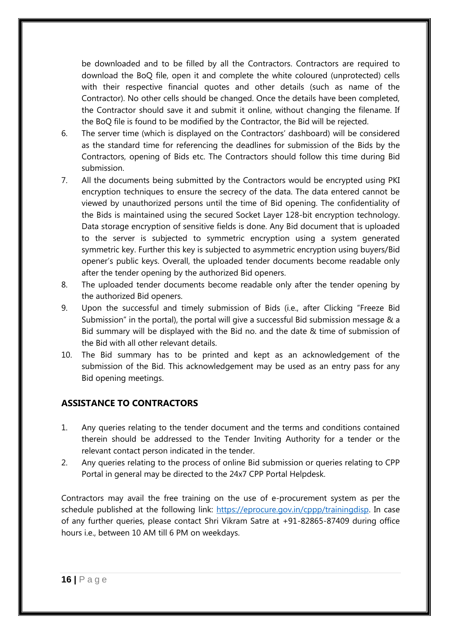be downloaded and to be filled by all the Contractors. Contractors are required to download the BoQ file, open it and complete the white coloured (unprotected) cells with their respective financial quotes and other details (such as name of the Contractor). No other cells should be changed. Once the details have been completed, the Contractor should save it and submit it online, without changing the filename. If the BoQ file is found to be modified by the Contractor, the Bid will be rejected.

- 6. The server time (which is displayed on the Contractors" dashboard) will be considered as the standard time for referencing the deadlines for submission of the Bids by the Contractors, opening of Bids etc. The Contractors should follow this time during Bid submission.
- 7. All the documents being submitted by the Contractors would be encrypted using PKI encryption techniques to ensure the secrecy of the data. The data entered cannot be viewed by unauthorized persons until the time of Bid opening. The confidentiality of the Bids is maintained using the secured Socket Layer 128-bit encryption technology. Data storage encryption of sensitive fields is done. Any Bid document that is uploaded to the server is subjected to symmetric encryption using a system generated symmetric key. Further this key is subjected to asymmetric encryption using buyers/Bid opener"s public keys. Overall, the uploaded tender documents become readable only after the tender opening by the authorized Bid openers.
- 8. The uploaded tender documents become readable only after the tender opening by the authorized Bid openers.
- 9. Upon the successful and timely submission of Bids (i.e., after Clicking "Freeze Bid Submission" in the portal), the portal will give a successful Bid submission message & a Bid summary will be displayed with the Bid no. and the date & time of submission of the Bid with all other relevant details.
- 10. The Bid summary has to be printed and kept as an acknowledgement of the submission of the Bid. This acknowledgement may be used as an entry pass for any Bid opening meetings.

#### **ASSISTANCE TO CONTRACTORS**

- 1. Any queries relating to the tender document and the terms and conditions contained therein should be addressed to the Tender Inviting Authority for a tender or the relevant contact person indicated in the tender.
- 2. Any queries relating to the process of online Bid submission or queries relating to CPP Portal in general may be directed to the 24x7 CPP Portal Helpdesk.

Contractors may avail the free training on the use of e-procurement system as per the schedule published at the following link: [https://eprocure.gov.in/cppp/trainingdisp.](https://eprocure.gov.in/cppp/trainingdisp) In case of any further queries, please contact Shri Vikram Satre at +91-82865-87409 during office hours i.e., between 10 AM till 6 PM on weekdays.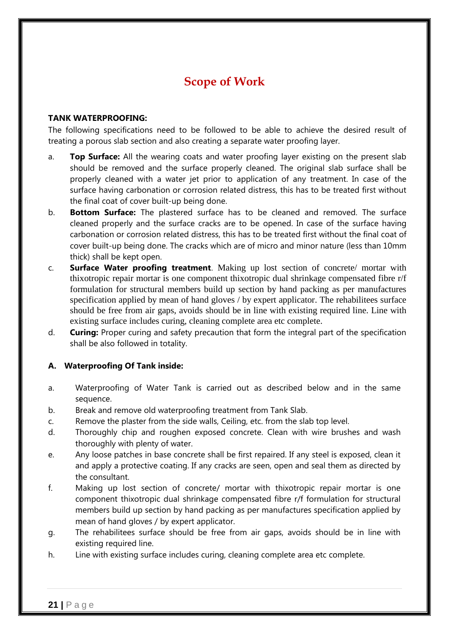# **Scope of Work**

#### **TANK WATERPROOFING:**

The following specifications need to be followed to be able to achieve the desired result of treating a porous slab section and also creating a separate water proofing layer.

- a. **Top Surface:** All the wearing coats and water proofing layer existing on the present slab should be removed and the surface properly cleaned. The original slab surface shall be properly cleaned with a water jet prior to application of any treatment. In case of the surface having carbonation or corrosion related distress, this has to be treated first without the final coat of cover built-up being done.
- b. **Bottom Surface:** The plastered surface has to be cleaned and removed. The surface cleaned properly and the surface cracks are to be opened. In case of the surface having carbonation or corrosion related distress, this has to be treated first without the final coat of cover built-up being done. The cracks which are of micro and minor nature (less than 10mm thick) shall be kept open.
- c. **Surface Water proofing treatment**. Making up lost section of concrete/ mortar with thixotropic repair mortar is one component thixotropic dual shrinkage compensated fibre r/f formulation for structural members build up section by hand packing as per manufactures specification applied by mean of hand gloves / by expert applicator. The rehabilitees surface should be free from air gaps, avoids should be in line with existing required line. Line with existing surface includes curing, cleaning complete area etc complete.
- d. **Curing:** Proper curing and safety precaution that form the integral part of the specification shall be also followed in totality.

#### **A. Waterproofing Of Tank inside:**

- a. Waterproofing of Water Tank is carried out as described below and in the same sequence.
- b. Break and remove old waterproofing treatment from Tank Slab.
- c. Remove the plaster from the side walls, Ceiling, etc. from the slab top level.
- d. Thoroughly chip and roughen exposed concrete. Clean with wire brushes and wash thoroughly with plenty of water.
- e. Any loose patches in base concrete shall be first repaired. If any steel is exposed, clean it and apply a protective coating. If any cracks are seen, open and seal them as directed by the consultant.
- f. Making up lost section of concrete/ mortar with thixotropic repair mortar is one component thixotropic dual shrinkage compensated fibre r/f formulation for structural members build up section by hand packing as per manufactures specification applied by mean of hand gloves / by expert applicator.
- g. The rehabilitees surface should be free from air gaps, avoids should be in line with existing required line.
- h. Line with existing surface includes curing, cleaning complete area etc complete.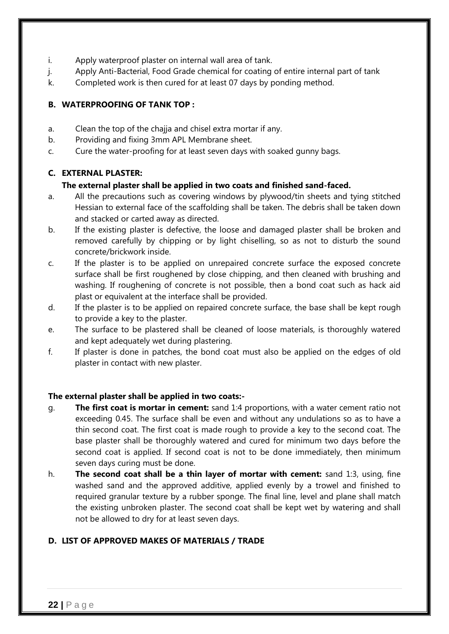- i. Apply waterproof plaster on internal wall area of tank.
- j. Apply Anti-Bacterial, Food Grade chemical for coating of entire internal part of tank
- k. Completed work is then cured for at least 07 days by ponding method.

#### **B. WATERPROOFING OF TANK TOP :**

- a. Clean the top of the chajja and chisel extra mortar if any.
- b. Providing and fixing 3mm APL Membrane sheet.
- c. Cure the water-proofing for at least seven days with soaked gunny bags.

#### **C. EXTERNAL PLASTER:**

#### **The external plaster shall be applied in two coats and finished sand-faced.**

- a. All the precautions such as covering windows by plywood/tin sheets and tying stitched Hessian to external face of the scaffolding shall be taken. The debris shall be taken down and stacked or carted away as directed.
- b. If the existing plaster is defective, the loose and damaged plaster shall be broken and removed carefully by chipping or by light chiselling, so as not to disturb the sound concrete/brickwork inside.
- c. If the plaster is to be applied on unrepaired concrete surface the exposed concrete surface shall be first roughened by close chipping, and then cleaned with brushing and washing. If roughening of concrete is not possible, then a bond coat such as hack aid plast or equivalent at the interface shall be provided.
- d. If the plaster is to be applied on repaired concrete surface, the base shall be kept rough to provide a key to the plaster.
- e. The surface to be plastered shall be cleaned of loose materials, is thoroughly watered and kept adequately wet during plastering.
- f. If plaster is done in patches, the bond coat must also be applied on the edges of old plaster in contact with new plaster.

#### **The external plaster shall be applied in two coats:-**

- g. **The first coat is mortar in cement:** sand 1:4 proportions, with a water cement ratio not exceeding 0.45. The surface shall be even and without any undulations so as to have a thin second coat. The first coat is made rough to provide a key to the second coat. The base plaster shall be thoroughly watered and cured for minimum two days before the second coat is applied. If second coat is not to be done immediately, then minimum seven days curing must be done.
- h. **The second coat shall be a thin layer of mortar with cement:** sand 1:3, using, fine washed sand and the approved additive, applied evenly by a trowel and finished to required granular texture by a rubber sponge. The final line, level and plane shall match the existing unbroken plaster. The second coat shall be kept wet by watering and shall not be allowed to dry for at least seven days.

#### **D. LIST OF APPROVED MAKES OF MATERIALS / TRADE**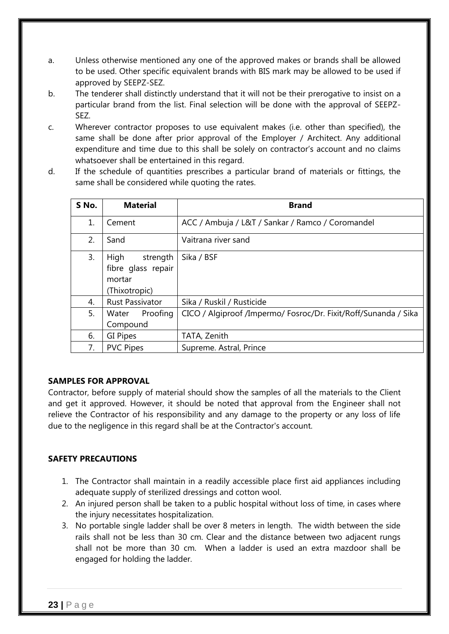- a. Unless otherwise mentioned any one of the approved makes or brands shall be allowed to be used. Other specific equivalent brands with BIS mark may be allowed to be used if approved by SEEPZ-SEZ.
- b. The tenderer shall distinctly understand that it will not be their prerogative to insist on a particular brand from the list. Final selection will be done with the approval of SEEPZ-SEZ.
- c. Wherever contractor proposes to use equivalent makes (i.e. other than specified), the same shall be done after prior approval of the Employer / Architect. Any additional expenditure and time due to this shall be solely on contractor's account and no claims whatsoever shall be entertained in this regard.
- d. If the schedule of quantities prescribes a particular brand of materials or fittings, the same shall be considered while quoting the rates.

| S No. | <b>Material</b>        | <b>Brand</b>                                                    |
|-------|------------------------|-----------------------------------------------------------------|
| 1.    | Cement                 | ACC / Ambuja / L&T / Sankar / Ramco / Coromandel                |
| 2.    | Sand                   | Vaitrana river sand                                             |
| 3.    | High<br>strength       | Sika / BSF                                                      |
|       | fibre glass repair     |                                                                 |
|       | mortar                 |                                                                 |
|       | (Thixotropic)          |                                                                 |
| 4.    | <b>Rust Passivator</b> | Sika / Ruskil / Rusticide                                       |
| 5.    | Proofing<br>Water      | CICO / Algiproof /Impermo/ Fosroc/Dr. Fixit/Roff/Sunanda / Sika |
|       | Compound               |                                                                 |
| 6.    | GI Pipes               | TATA, Zenith                                                    |
| 7.    | <b>PVC Pipes</b>       | Supreme. Astral, Prince                                         |

#### **SAMPLES FOR APPROVAL**

Contractor, before supply of material should show the samples of all the materials to the Client and get it approved. However, it should be noted that approval from the Engineer shall not relieve the Contractor of his responsibility and any damage to the property or any loss of life due to the negligence in this regard shall be at the Contractor's account.

#### **SAFETY PRECAUTIONS**

- 1. The Contractor shall maintain in a readily accessible place first aid appliances including adequate supply of sterilized dressings and cotton wool.
- 2. An injured person shall be taken to a public hospital without loss of time, in cases where the injury necessitates hospitalization.
- 3. No portable single ladder shall be over 8 meters in length. The width between the side rails shall not be less than 30 cm. Clear and the distance between two adjacent rungs shall not be more than 30 cm. When a ladder is used an extra mazdoor shall be engaged for holding the ladder.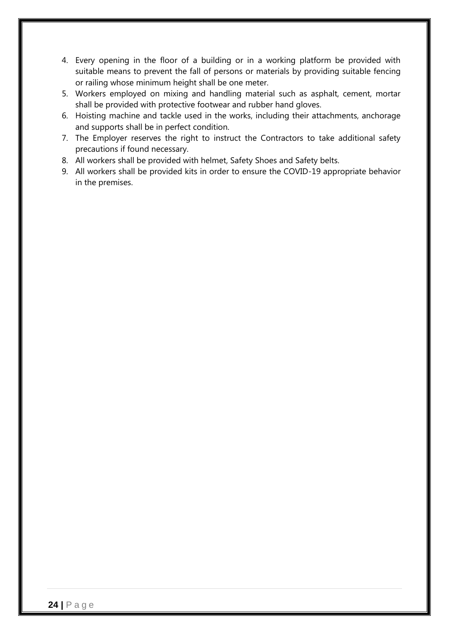- 4. Every opening in the floor of a building or in a working platform be provided with suitable means to prevent the fall of persons or materials by providing suitable fencing or railing whose minimum height shall be one meter.
- 5. Workers employed on mixing and handling material such as asphalt, cement, mortar shall be provided with protective footwear and rubber hand gloves.
- 6. Hoisting machine and tackle used in the works, including their attachments, anchorage and supports shall be in perfect condition.
- 7. The Employer reserves the right to instruct the Contractors to take additional safety precautions if found necessary.
- 8. All workers shall be provided with helmet, Safety Shoes and Safety belts.
- 9. All workers shall be provided kits in order to ensure the COVID-19 appropriate behavior in the premises.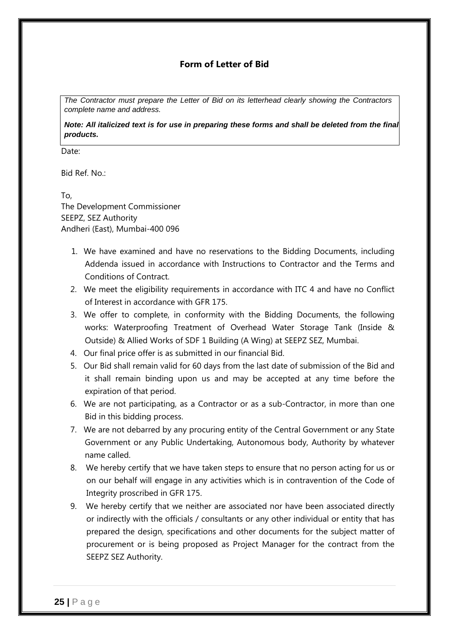#### **Form of Letter of Bid**

*The Contractor must prepare the Letter of Bid on its letterhead clearly showing the Contractors complete name and address.*

*Note: All italicized text is for use in preparing these forms and shall be deleted from the final products.*

Date:

Bid Ref. No.:

To, The Development Commissioner SEEPZ, SEZ Authority Andheri (East), Mumbai-400 096

- 1. We have examined and have no reservations to the Bidding Documents, including Addenda issued in accordance with Instructions to Contractor and the Terms and Conditions of Contract.
- 2. We meet the eligibility requirements in accordance with ITC 4 and have no Conflict of Interest in accordance with GFR 175.
- 3. We offer to complete, in conformity with the Bidding Documents, the following works: Waterproofing Treatment of Overhead Water Storage Tank (Inside & Outside) & Allied Works of SDF 1 Building (A Wing) at SEEPZ SEZ, Mumbai.
- 4. Our final price offer is as submitted in our financial Bid.
- 5. Our Bid shall remain valid for 60 days from the last date of submission of the Bid and it shall remain binding upon us and may be accepted at any time before the expiration of that period.
- 6. We are not participating, as a Contractor or as a sub-Contractor, in more than one Bid in this bidding process.
- 7. We are not debarred by any procuring entity of the Central Government or any State Government or any Public Undertaking, Autonomous body, Authority by whatever name called.
- 8. We hereby certify that we have taken steps to ensure that no person acting for us or on our behalf will engage in any activities which is in contravention of the Code of Integrity proscribed in GFR 175.
- 9. We hereby certify that we neither are associated nor have been associated directly or indirectly with the officials / consultants or any other individual or entity that has prepared the design, specifications and other documents for the subject matter of procurement or is being proposed as Project Manager for the contract from the SEEPZ SEZ Authority.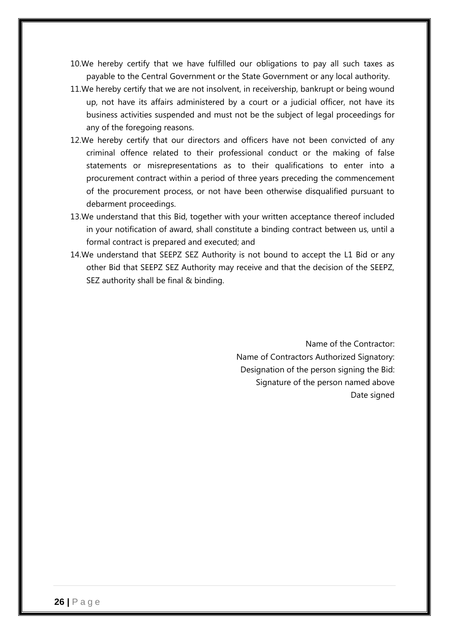- 10.We hereby certify that we have fulfilled our obligations to pay all such taxes as payable to the Central Government or the State Government or any local authority.
- 11.We hereby certify that we are not insolvent, in receivership, bankrupt or being wound up, not have its affairs administered by a court or a judicial officer, not have its business activities suspended and must not be the subject of legal proceedings for any of the foregoing reasons.
- 12.We hereby certify that our directors and officers have not been convicted of any criminal offence related to their professional conduct or the making of false statements or misrepresentations as to their qualifications to enter into a procurement contract within a period of three years preceding the commencement of the procurement process, or not have been otherwise disqualified pursuant to debarment proceedings.
- 13.We understand that this Bid, together with your written acceptance thereof included in your notification of award, shall constitute a binding contract between us, until a formal contract is prepared and executed; and
- 14.We understand that SEEPZ SEZ Authority is not bound to accept the L1 Bid or any other Bid that SEEPZ SEZ Authority may receive and that the decision of the SEEPZ, SEZ authority shall be final & binding.

Name of the Contractor: Name of Contractors Authorized Signatory: Designation of the person signing the Bid: Signature of the person named above Date signed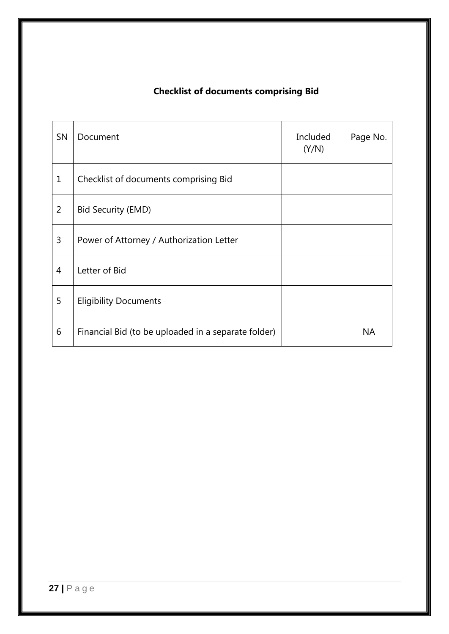# **Checklist of documents comprising Bid**

| <b>SN</b>   | Document                                            | Included<br>(Y/N) | Page No.  |
|-------------|-----------------------------------------------------|-------------------|-----------|
| $\mathbf 1$ | Checklist of documents comprising Bid               |                   |           |
| 2           | <b>Bid Security (EMD)</b>                           |                   |           |
| 3           | Power of Attorney / Authorization Letter            |                   |           |
| 4           | Letter of Bid                                       |                   |           |
| 5           | <b>Eligibility Documents</b>                        |                   |           |
| 6           | Financial Bid (to be uploaded in a separate folder) |                   | <b>NA</b> |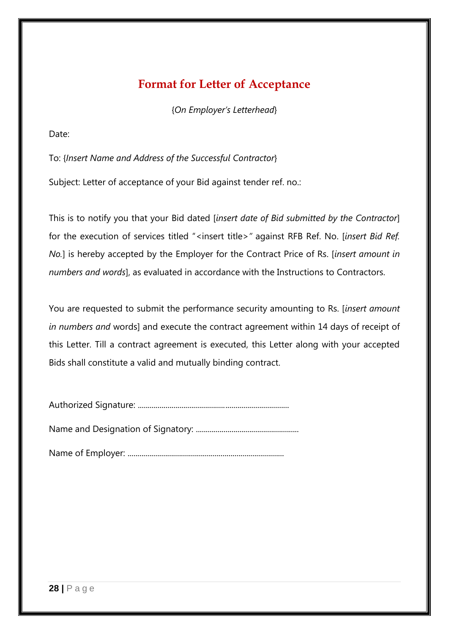# **Format for Letter of Acceptance**

{*On Employer's Letterhead*}

Date:

To: {*Insert Name and Address of the Successful Contractor*}

Subject: Letter of acceptance of your Bid against tender ref. no.:

This is to notify you that your Bid dated [*insert date of Bid submitted by the Contractor*] for the execution of services titled "<insert title>" against RFB Ref. No. [insert Bid Ref. *No.*] is hereby accepted by the Employer for the Contract Price of Rs. [*insert amount in numbers and words*], as evaluated in accordance with the Instructions to Contractors.

You are requested to submit the performance security amounting to Rs. [*insert amount in numbers and* words] and execute the contract agreement within 14 days of receipt of this Letter. Till a contract agreement is executed, this Letter along with your accepted Bids shall constitute a valid and mutually binding contract.

|--|--|

Name and Designation of Signatory: ....................................................

Name of Employer: ...............................................................................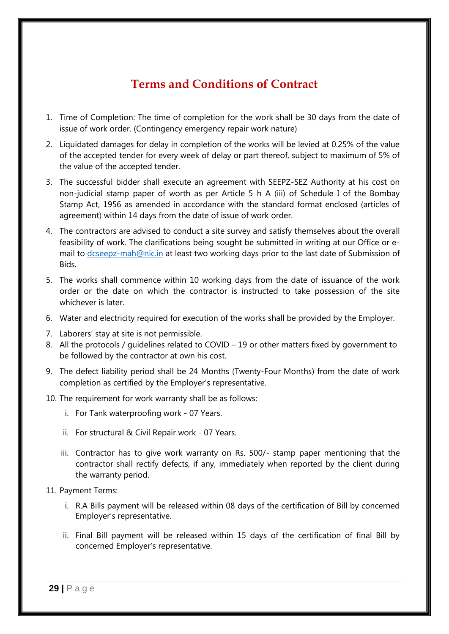# **Terms and Conditions of Contract**

- 1. Time of Completion: The time of completion for the work shall be 30 days from the date of issue of work order. (Contingency emergency repair work nature)
- 2. Liquidated damages for delay in completion of the works will be levied at 0.25% of the value of the accepted tender for every week of delay or part thereof, subject to maximum of 5% of the value of the accepted tender.
- 3. The successful bidder shall execute an agreement with SEEPZ-SEZ Authority at his cost on non-judicial stamp paper of worth as per Article 5 h A (iii) of Schedule I of the Bombay Stamp Act, 1956 as amended in accordance with the standard format enclosed (articles of agreement) within 14 days from the date of issue of work order.
- 4. The contractors are advised to conduct a site survey and satisfy themselves about the overall feasibility of work. The clarifications being sought be submitted in writing at our Office or email to [dcseepz-mah@nic.in](mailto:dcseepz-mah@nic.in) at least two working days prior to the last date of Submission of Bids.
- 5. The works shall commence within 10 working days from the date of issuance of the work order or the date on which the contractor is instructed to take possession of the site whichever is later.
- 6. Water and electricity required for execution of the works shall be provided by the Employer.
- 7. Laborers' stay at site is not permissible.
- 8. All the protocols / quidelines related to COVID 19 or other matters fixed by government to be followed by the contractor at own his cost.
- 9. The defect liability period shall be 24 Months (Twenty-Four Months) from the date of work completion as certified by the Employer"s representative.
- 10. The requirement for work warranty shall be as follows:
	- i. For Tank waterproofing work 07 Years.
	- ii. For structural & Civil Repair work 07 Years.
	- iii. Contractor has to give work warranty on Rs. 500/- stamp paper mentioning that the contractor shall rectify defects, if any, immediately when reported by the client during the warranty period.
- 11. Payment Terms:
	- i. R.A Bills payment will be released within 08 days of the certification of Bill by concerned Employer"s representative.
	- ii. Final Bill payment will be released within 15 days of the certification of final Bill by concerned Employer"s representative.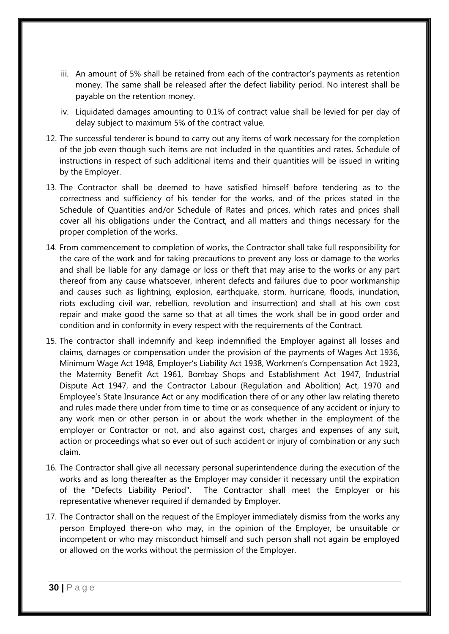- iii. An amount of 5% shall be retained from each of the contractor's payments as retention money. The same shall be released after the defect liability period. No interest shall be payable on the retention money.
- iv. Liquidated damages amounting to 0.1% of contract value shall be levied for per day of delay subject to maximum 5% of the contract value.
- 12. The successful tenderer is bound to carry out any items of work necessary for the completion of the job even though such items are not included in the quantities and rates. Schedule of instructions in respect of such additional items and their quantities will be issued in writing by the Employer.
- 13. The Contractor shall be deemed to have satisfied himself before tendering as to the correctness and sufficiency of his tender for the works, and of the prices stated in the Schedule of Quantities and/or Schedule of Rates and prices, which rates and prices shall cover all his obligations under the Contract, and all matters and things necessary for the proper completion of the works.
- 14. From commencement to completion of works, the Contractor shall take full responsibility for the care of the work and for taking precautions to prevent any loss or damage to the works and shall be liable for any damage or loss or theft that may arise to the works or any part thereof from any cause whatsoever, inherent defects and failures due to poor workmanship and causes such as lightning, explosion, earthquake, storm. hurricane, floods, inundation, riots excluding civil war, rebellion, revolution and insurrection) and shall at his own cost repair and make good the same so that at all times the work shall be in good order and condition and in conformity in every respect with the requirements of the Contract.
- 15. The contractor shall indemnify and keep indemnified the Employer against all losses and claims, damages or compensation under the provision of the payments of Wages Act 1936, Minimum Wage Act 1948, Employer"s Liability Act 1938, Workmen"s Compensation Act 1923, the Maternity Benefit Act 1961, Bombay Shops and Establishment Act 1947, Industrial Dispute Act 1947, and the Contractor Labour (Regulation and Abolition) Act, 1970 and Employee"s State Insurance Act or any modification there of or any other law relating thereto and rules made there under from time to time or as consequence of any accident or injury to any work men or other person in or about the work whether in the employment of the employer or Contractor or not, and also against cost, charges and expenses of any suit, action or proceedings what so ever out of such accident or injury of combination or any such claim.
- 16. The Contractor shall give all necessary personal superintendence during the execution of the works and as long thereafter as the Employer may consider it necessary until the expiration of the "Defects Liability Period". The Contractor shall meet the Employer or his representative whenever required if demanded by Employer.
- 17. The Contractor shall on the request of the Employer immediately dismiss from the works any person Employed there-on who may, in the opinion of the Employer, be unsuitable or incompetent or who may misconduct himself and such person shall not again be employed or allowed on the works without the permission of the Employer.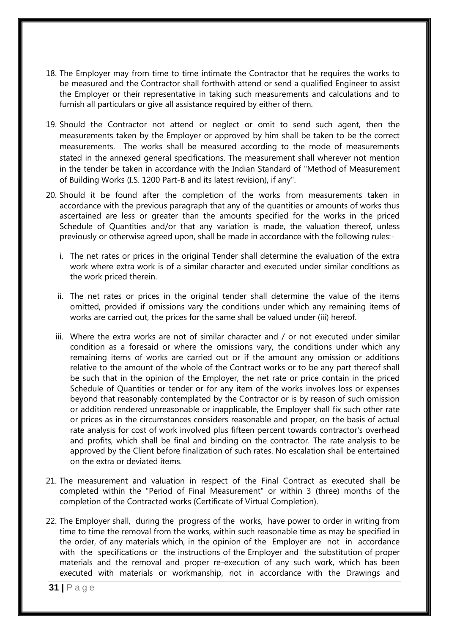- 18. The Employer may from time to time intimate the Contractor that he requires the works to be measured and the Contractor shall forthwith attend or send a qualified Engineer to assist the Employer or their representative in taking such measurements and calculations and to furnish all particulars or give all assistance required by either of them.
- 19. Should the Contractor not attend or neglect or omit to send such agent, then the measurements taken by the Employer or approved by him shall be taken to be the correct measurements. The works shall be measured according to the mode of measurements stated in the annexed general specifications. The measurement shall wherever not mention in the tender be taken in accordance with the Indian Standard of "Method of Measurement of Building Works (I.S. 1200 Part-B and its latest revision), if any".
- 20. Should it be found after the completion of the works from measurements taken in accordance with the previous paragraph that any of the quantities or amounts of works thus ascertained are less or greater than the amounts specified for the works in the priced Schedule of Quantities and/or that any variation is made, the valuation thereof, unless previously or otherwise agreed upon, shall be made in accordance with the following rules:
	- i. The net rates or prices in the original Tender shall determine the evaluation of the extra work where extra work is of a similar character and executed under similar conditions as the work priced therein.
	- ii. The net rates or prices in the original tender shall determine the value of the items omitted, provided if omissions vary the conditions under which any remaining items of works are carried out, the prices for the same shall be valued under (iii) hereof.
	- iii. Where the extra works are not of similar character and / or not executed under similar condition as a foresaid or where the omissions vary, the conditions under which any remaining items of works are carried out or if the amount any omission or additions relative to the amount of the whole of the Contract works or to be any part thereof shall be such that in the opinion of the Employer, the net rate or price contain in the priced Schedule of Quantities or tender or for any item of the works involves loss or expenses beyond that reasonably contemplated by the Contractor or is by reason of such omission or addition rendered unreasonable or inapplicable, the Employer shall fix such other rate or prices as in the circumstances considers reasonable and proper, on the basis of actual rate analysis for cost of work involved plus fifteen percent towards contractor's overhead and profits, which shall be final and binding on the contractor. The rate analysis to be approved by the Client before finalization of such rates. No escalation shall be entertained on the extra or deviated items.
- 21. The measurement and valuation in respect of the Final Contract as executed shall be completed within the "Period of Final Measurement" or within 3 (three) months of the completion of the Contracted works (Certificate of Virtual Completion).
- 22. The Employer shall, during the progress of the works, have power to order in writing from time to time the removal from the works, within such reasonable time as may be specified in the order, of any materials which, in the opinion of the Employer are not in accordance with the specifications or the instructions of the Employer and the substitution of proper materials and the removal and proper re-execution of any such work, which has been executed with materials or workmanship, not in accordance with the Drawings and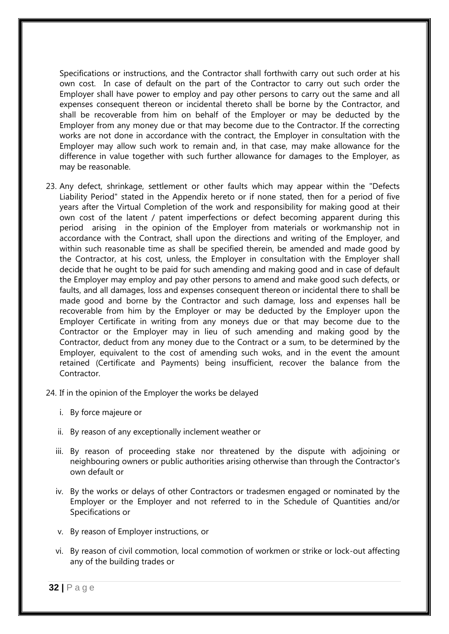Specifications or instructions, and the Contractor shall forthwith carry out such order at his own cost. In case of default on the part of the Contractor to carry out such order the Employer shall have power to employ and pay other persons to carry out the same and all expenses consequent thereon or incidental thereto shall be borne by the Contractor, and shall be recoverable from him on behalf of the Employer or may be deducted by the Employer from any money due or that may become due to the Contractor. If the correcting works are not done in accordance with the contract, the Employer in consultation with the Employer may allow such work to remain and, in that case, may make allowance for the difference in value together with such further allowance for damages to the Employer, as may be reasonable.

- 23. Any defect, shrinkage, settlement or other faults which may appear within the "Defects Liability Period" stated in the Appendix hereto or if none stated, then for a period of five years after the Virtual Completion of the work and responsibility for making good at their own cost of the latent / patent imperfections or defect becoming apparent during this period arising in the opinion of the Employer from materials or workmanship not in accordance with the Contract, shall upon the directions and writing of the Employer, and within such reasonable time as shall be specified therein, be amended and made good by the Contractor, at his cost, unless, the Employer in consultation with the Employer shall decide that he ought to be paid for such amending and making good and in case of default the Employer may employ and pay other persons to amend and make good such defects, or faults, and all damages, loss and expenses consequent thereon or incidental there to shall be made good and borne by the Contractor and such damage, loss and expenses hall be recoverable from him by the Employer or may be deducted by the Employer upon the Employer Certificate in writing from any moneys due or that may become due to the Contractor or the Employer may in lieu of such amending and making good by the Contractor, deduct from any money due to the Contract or a sum, to be determined by the Employer, equivalent to the cost of amending such woks, and in the event the amount retained (Certificate and Payments) being insufficient, recover the balance from the Contractor.
- 24. If in the opinion of the Employer the works be delayed
	- i. By force majeure or
	- ii. By reason of any exceptionally inclement weather or
	- iii. By reason of proceeding stake nor threatened by the dispute with adjoining or neighbouring owners or public authorities arising otherwise than through the Contractor's own default or
	- iv. By the works or delays of other Contractors or tradesmen engaged or nominated by the Employer or the Employer and not referred to in the Schedule of Quantities and/or Specifications or
	- v. By reason of Employer instructions, or
	- vi. By reason of civil commotion, local commotion of workmen or strike or lock-out affecting any of the building trades or